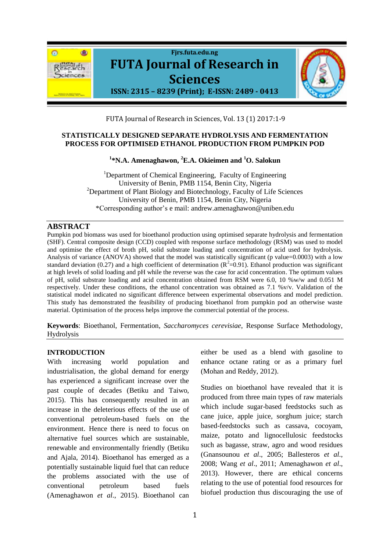

FUTA Journal of Research in Sciences, Vol. 13 (1) 2017:1-9

#### **STATISTICALLY DESIGNED SEPARATE HYDROLYSIS AND FERMENTATION PROCESS FOR OPTIMISED ETHANOL PRODUCTION FROM PUMPKIN POD**

**1 \*N.A. Amenaghawon, <sup>2</sup>E.A. Okieimen and <sup>1</sup>O. Salokun**

<sup>1</sup>Department of Chemical Engineering, Faculty of Engineering University of Benin, PMB 1154, Benin City, Nigeria  $2$ Department of Plant Biology and Biotechnology, Faculty of Life Sciences University of Benin, PMB 1154, Benin City, Nigeria \*Corresponding author's e mail: [andrew.amenaghawon@uniben.edu](mailto:andrew.amenaghawon@uniben.edu)

### **ABSTRACT**

Pumpkin pod biomass was used for bioethanol production using optimised separate hydrolysis and fermentation (SHF). Central composite design (CCD) coupled with response surface methodology (RSM) was used to model and optimise the effect of broth pH, solid substrate loading and concentration of acid used for hydrolysis. Analysis of variance (ANOVA) showed that the model was statistically significant (p value=0.0003) with a low standard deviation (0.27) and a high coefficient of determination ( $R^2$ =0.91). Ethanol production was significant at high levels of solid loading and pH while the reverse was the case for acid concentration. The optimum values of pH, solid substrate loading and acid concentration obtained from RSM were 6.0, 10 %w/w and 0.051 M respectively. Under these conditions, the ethanol concentration was obtained as 7.1 %v/v. Validation of the statistical model indicated no significant difference between experimental observations and model prediction. This study has demonstrated the feasibility of producing bioethanol from pumpkin pod an otherwise waste material. Optimisation of the process helps improve the commercial potential of the process.

**Keywords**: Bioethanol, Fermentation, *Saccharomyces cerevisiae*, Response Surface Methodology, Hydrolysis

#### **INTRODUCTION**

With increasing world population and industrialisation, the global demand for energy has experienced a significant increase over the past couple of decades (Betiku and Taiwo, 2015). This has consequently resulted in an increase in the deleterious effects of the use of conventional petroleum-based fuels on the environment. Hence there is need to focus on alternative fuel sources which are sustainable, renewable and environmentally friendly (Betiku and Ajala, 2014). Bioethanol has emerged as a potentially sustainable liquid fuel that can reduce the problems associated with the use of conventional petroleum based fuels (Amenaghawon *et al*., 2015). Bioethanol can

either be used as a blend with gasoline to enhance octane rating or as a primary fuel (Mohan and Reddy, 2012).

Studies on bioethanol have revealed that it is produced from three main types of raw materials which include sugar-based feedstocks such as cane juice, apple juice, sorghum juice; starch based-feedstocks such as cassava, cocoyam, maize, potato and lignocellulosic feedstocks such as bagasse, straw, agro and wood residues (Gnansounou *et al*., 2005; Ballesteros *et al*., 2008; Wang *et al*., 2011; Amenaghawon *et al*., 2013). However, there are ethical concerns relating to the use of potential food resources for biofuel production thus discouraging the use of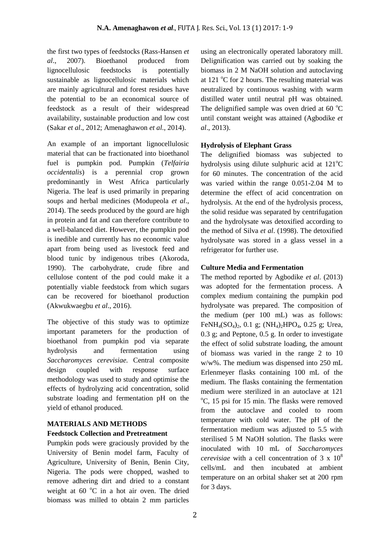the first two types of feedstocks (Rass-Hansen *et al*., 2007). Bioethanol produced from lignocellulosic feedstocks is potentially sustainable as lignocellulosic materials which are mainly agricultural and forest residues have the potential to be an economical source of feedstock as a result of their widespread availability, sustainable production and low cost (Sakar *et al*., 2012; Amenaghawon *et al*., 2014).

An example of an important lignocellulosic material that can be fractionated into bioethanol fuel is pumpkin pod. Pumpkin (*Telfairia occidentalis*) is a perennial crop grown predominantly in West Africa particularly Nigeria. The leaf is used primarily in preparing soups and herbal medicines (Modupeola *et al*., 2014). The seeds produced by the gourd are high in protein and fat and can therefore contribute to a well-balanced diet. However, the pumpkin pod is inedible and currently has no economic value apart from being used as livestock feed and blood tunic by indigenous tribes (Akoroda, 1990). The carbohydrate, crude fibre and cellulose content of the pod could make it a potentially viable feedstock from which sugars can be recovered for bioethanol production (Akwukwaegbu *et al*., 2016).

The objective of this study was to optimize important parameters for the production of bioethanol from pumpkin pod via separate hydrolysis and fermentation using *Saccharomyces cerevisiae.* Central composite design coupled with response surface methodology was used to study and optimise the effects of hydrolyzing acid concentration, solid substrate loading and fermentation pH on the yield of ethanol produced.

# **MATERIALS AND METHODS**

# **Feedstock Collection and Pretreatment**

Pumpkin pods were graciously provided by the University of Benin model farm, Faculty of Agriculture, University of Benin, Benin City, Nigeria. The pods were chopped, washed to remove adhering dirt and dried to a constant weight at  $60^\circ$ C in a hot air oven. The dried biomass was milled to obtain 2 mm particles

using an electronically operated laboratory mill. Delignification was carried out by soaking the biomass in 2 M NaOH solution and autoclaving at 121  $\degree$ C for 2 hours. The resulting material was neutralized by continuous washing with warm distilled water until neutral pH was obtained. The delignified sample was oven dried at 60  $^{\circ}$ C until constant weight was attained (Agbodike *et al*., 2013).

# **Hydrolysis of Elephant Grass**

The delignified biomass was subjected to hydrolysis using dilute sulphuric acid at  $121^{\circ}$ C for 60 minutes. The concentration of the acid was varied within the range 0.051-2.04 M to determine the effect of acid concentration on hydrolysis. At the end of the hydrolysis process, the solid residue was separated by centrifugation and the hydrolysate was detoxified according to the method of Silva *et al*. (1998). The detoxified hydrolysate was stored in a glass vessel in a refrigerator for further use.

# **Culture Media and Fermentation**

The method reported by Agbodike *et al*. (2013) was adopted for the fermentation process. A complex medium containing the pumpkin pod hydrolysate was prepared. The composition of the medium (per 100 mL) was as follows: FeNH<sub>4</sub>(SO<sub>4</sub>)<sub>2</sub>, 0.1 g; (NH<sub>4</sub>)<sub>2</sub>HPO<sub>4</sub>, 0.25 g; Urea, 0.3 g; and Peptone, 0.5 g. In order to investigate the effect of solid substrate loading, the amount of biomass was varied in the range 2 to 10 w/w%. The medium was dispensed into 250 mL Erlenmeyer flasks containing 100 mL of the medium. The flasks containing the fermentation medium were sterilized in an autoclave at 121  $\degree$ C, 15 psi for 15 min. The flasks were removed from the autoclave and cooled to room temperature with cold water. The pH of the fermentation medium was adjusted to 5.5 with sterilised 5 M NaOH solution. The flasks were inoculated with 10 mL of *Saccharomyces cerevisiae* with a cell concentration of 3 x 10<sup>8</sup> cells/mL and then incubated at ambient temperature on an orbital shaker set at 200 rpm for 3 days.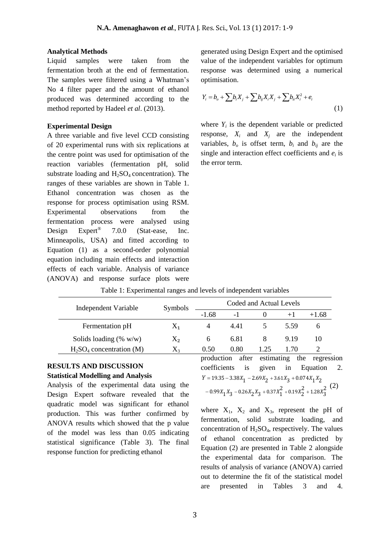#### **Analytical Methods**

Liquid samples were taken from the fermentation broth at the end of fermentation. The samples were filtered using a Whatman's No 4 filter paper and the amount of ethanol produced was determined according to the method reported by Hadeel *et al*. (2013).

#### **Experimental Design**

A three variable and five level CCD consisting of 20 experimental runs with six replications at the centre point was used for optimisation of the reaction variables (fermentation pH, solid substrate loading and  $H_2SO_4$  concentration). The ranges of these variables are shown in Table 1. Ethanol concentration was chosen as the response for process optimisation using RSM. Experimental observations from the fermentation process were analysed using Design Expert<sup>®</sup> 7.0.0 (Stat-ease, Inc. Minneapolis, USA) and fitted according to Equation (1) as a second-order polynomial equation including main effects and interaction effects of each variable. Analysis of variance (ANOVA) and response surface plots were

generated using Design Expert and the optimised value of the independent variables for optimum response was determined using a numerical optimisation.

$$
Y_i = b_o + \sum b_i X_j + \sum b_{ij} X_i X_j + \sum b_{ii} X_i^2 + e_i
$$
\n(1)

where  $Y_i$  is the dependent variable or predicted response,  $X_i$  and  $X_i$  are the independent variables,  $b<sub>o</sub>$  is offset term,  $b<sub>i</sub>$  and  $b<sub>ij</sub>$  are the single and interaction effect coefficients and  $e_i$  is the error term.

| Independent Variable      | Symbols   | Coded and Actual Levels |      |      |      |              |
|---------------------------|-----------|-------------------------|------|------|------|--------------|
|                           |           | $-1.68$                 | $-1$ |      | $+1$ | $+1.68$      |
| Fermentation pH           | $X_1$     | 4                       | 4.41 |      | 5.59 | <sub>0</sub> |
| Solids loading $(\% w/w)$ | $\rm X_2$ | 6                       | 6.81 |      | 9.19 | 10           |
| $H2SO4 concentration (M)$ | Л3        | 0.50                    | 0.80 | 1.25 | 1.70 |              |

Table 1: Experimental ranges and levels of independent variables

#### **RESULTS AND DISCUSSION Statistical Modelling and Analysis**

Analysis of the experimental data using the Design Expert software revealed that the quadratic model was significant for ethanol production. This was further confirmed by ANOVA results which showed that the p value of the model was less than 0.05 indicating statistical significance (Table 3). The final response function for predicting ethanol

production after estimating the regression coefficients is given in Equation 2.  $1 - 19.35 - 3.36\lambda_1 - 2.09\lambda_2 + 3.01\lambda_3 + 0.097\lambda_1\lambda_2$ <br>  $- 0.99X_1X_3 - 0.26X_2X_3 + 0.37X_1^2 + 0.19X_2^2 + 1.28X_3^2$ <sup>(2)</sup>  $Y = 19.35 - 3.38X_1 - 2.69X_2 + 3.61X_3 + 0.074X_1X_2$ 

where  $X_1$ ,  $X_2$  and  $X_3$ , represent the pH of fermentation, solid substrate loading, and concentration of  $H_2SO_4$ , respectively. The values of ethanol concentration as predicted by Equation (2) are presented in Table 2 alongside the experimental data for comparison. The results of analysis of variance (ANOVA) carried out to determine the fit of the statistical model are presented in Tables 3 and 4.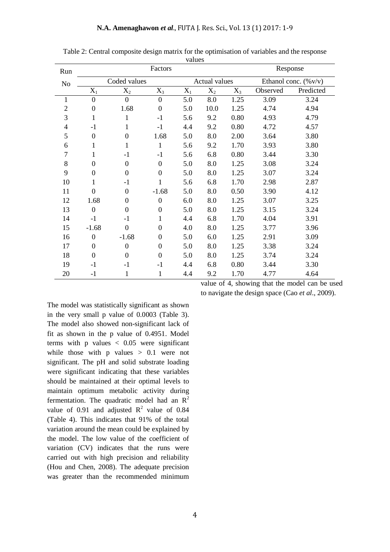| Run            | Factors          |                |                  |       | Response      |       |                                 |           |
|----------------|------------------|----------------|------------------|-------|---------------|-------|---------------------------------|-----------|
| No             | Coded values     |                |                  |       | Actual values |       | Ethanol conc. $(\% \text{v/v})$ |           |
|                | $X_1$            | $X_2$          | $X_3$            | $X_1$ | $X_2$         | $X_3$ | Observed                        | Predicted |
| 1              | $\overline{0}$   | $\overline{0}$ | $\overline{0}$   | 5.0   | 8.0           | 1.25  | 3.09                            | 3.24      |
| $\overline{c}$ | $\boldsymbol{0}$ | 1.68           | $\mathbf{0}$     | 5.0   | 10.0          | 1.25  | 4.74                            | 4.94      |
| 3              | $\mathbf{1}$     | 1              | $-1$             | 5.6   | 9.2           | 0.80  | 4.93                            | 4.79      |
| 4              | $-1$             | 1              | $-1$             | 4.4   | 9.2           | 0.80  | 4.72                            | 4.57      |
| 5              | $\boldsymbol{0}$ | $\theta$       | 1.68             | 5.0   | 8.0           | 2.00  | 3.64                            | 3.80      |
| 6              | 1                | 1              | $\mathbf{1}$     | 5.6   | 9.2           | 1.70  | 3.93                            | 3.80      |
| $\overline{7}$ | 1                | $-1$           | $-1$             | 5.6   | 6.8           | 0.80  | 3.44                            | 3.30      |
| 8              | $\overline{0}$   | $\theta$       | $\boldsymbol{0}$ | 5.0   | 8.0           | 1.25  | 3.08                            | 3.24      |
| 9              | $\boldsymbol{0}$ | $\overline{0}$ | $\boldsymbol{0}$ | 5.0   | 8.0           | 1.25  | 3.07                            | 3.24      |
| 10             | $\mathbf{1}$     | $-1$           | $\mathbf{1}$     | 5.6   | 6.8           | 1.70  | 2.98                            | 2.87      |
| 11             | $\mathbf{0}$     | $\mathbf{0}$   | $-1.68$          | 5.0   | 8.0           | 0.50  | 3.90                            | 4.12      |
| 12             | 1.68             | $\Omega$       | $\boldsymbol{0}$ | 6.0   | 8.0           | 1.25  | 3.07                            | 3.25      |
| 13             | $\mathbf{0}$     | $\theta$       | $\boldsymbol{0}$ | 5.0   | 8.0           | 1.25  | 3.15                            | 3.24      |
| 14             | $-1$             | $-1$           | 1                | 4.4   | 6.8           | 1.70  | 4.04                            | 3.91      |
| 15             | $-1.68$          | $\overline{0}$ | $\mathbf{0}$     | 4.0   | 8.0           | 1.25  | 3.77                            | 3.96      |
| 16             | $\boldsymbol{0}$ | $-1.68$        | $\boldsymbol{0}$ | 5.0   | 6.0           | 1.25  | 2.91                            | 3.09      |
| 17             | $\boldsymbol{0}$ | $\mathbf{0}$   | $\boldsymbol{0}$ | 5.0   | 8.0           | 1.25  | 3.38                            | 3.24      |
| 18             | $\mathbf{0}$     | $\overline{0}$ | $\boldsymbol{0}$ | 5.0   | 8.0           | 1.25  | 3.74                            | 3.24      |
| 19             | $-1$             | $-1$           | $-1$             | 4.4   | 6.8           | 0.80  | 3.44                            | 3.30      |
| 20             | $-1$             | 1              | 1                | 4.4   | 9.2           | 1.70  | 4.77                            | 4.64      |

Table 2: Central composite design matrix for the optimisation of variables and the response values

value of 4, showing that the model can be used to navigate the design space (Cao *et al*., 2009).

The model was statistically significant as shown in the very small p value of 0.0003 (Table 3). The model also showed non-significant lack of fit as shown in the p value of 0.4951. Model terms with  $p$  values  $< 0.05$  were significant while those with p values  $> 0.1$  were not significant. The pH and solid substrate loading were significant indicating that these variables should be maintained at their optimal levels to maintain optimum metabolic activity during fermentation. The quadratic model had an  $R^2$ value of 0.91 and adjusted  $R^2$  value of 0.84 (Table 4). This indicates that 91% of the total variation around the mean could be explained by the model. The low value of the coefficient of variation (CV) indicates that the runs were carried out with high precision and reliability (Hou and Chen, 2008). The adequate precision was greater than the recommended minimum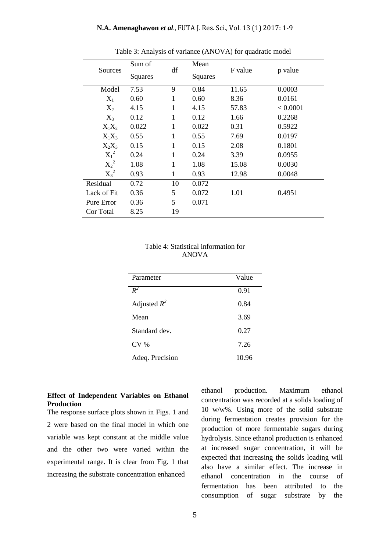| Sources     | Sum of<br>Squares | df           | Mean<br>Squares | F value | p value  |
|-------------|-------------------|--------------|-----------------|---------|----------|
| Model       | 7.53              | 9            | 0.84            | 11.65   | 0.0003   |
| $X_1$       | 0.60              | 1            | 0.60            | 8.36    | 0.0161   |
| $X_2$       | 4.15              | 1            | 4.15            | 57.83   | < 0.0001 |
| $X_3$       | 0.12              | 1            | 0.12            | 1.66    | 0.2268   |
| $X_1X_2$    | 0.022             | 1            | 0.022           | 0.31    | 0.5922   |
| $X_1X_3$    | 0.55              | 1            | 0.55            | 7.69    | 0.0197   |
| $X_2X_3$    | 0.15              | 1            | 0.15            | 2.08    | 0.1801   |
| $X_1^2$     | 0.24              | $\mathbf{1}$ | 0.24            | 3.39    | 0.0955   |
| $X_2^2$     | 1.08              | 1            | 1.08            | 15.08   | 0.0030   |
| $X_3^2$     | 0.93              | $\mathbf{1}$ | 0.93            | 12.98   | 0.0048   |
| Residual    | 0.72              | 10           | 0.072           |         |          |
| Lack of Fit | 0.36              | 5            | 0.072           | 1.01    | 0.4951   |
| Pure Error  | 0.36              | 5            | 0.071           |         |          |
| Cor Total   | 8.25              | 19           |                 |         |          |

Table 3: Analysis of variance (ANOVA) for quadratic model

#### Table 4: Statistical information for ANOVA

| Parameter       | Value |
|-----------------|-------|
| $R^2$           | 0.91  |
| Adjusted $R^2$  | 0.84  |
| Mean            | 3.69  |
| Standard dev.   | 0.27  |
| CV <sub>%</sub> | 7.26  |
| Adeq. Precision | 10.96 |

#### **Effect of Independent Variables on Ethanol Production**

The response surface plots shown in Figs. 1 and 2 were based on the final model in which one variable was kept constant at the middle value and the other two were varied within the experimental range. It is clear from Fig. 1 that increasing the substrate concentration enhanced

ethanol production. Maximum ethanol concentration was recorded at a solids loading of 10 w/w%. Using more of the solid substrate during fermentation creates provision for the production of more fermentable sugars during hydrolysis. Since ethanol production is enhanced at increased sugar concentration, it will be expected that increasing the solids loading will also have a similar effect. The increase in ethanol concentration in the course of fermentation has been attributed to the consumption of sugar substrate by the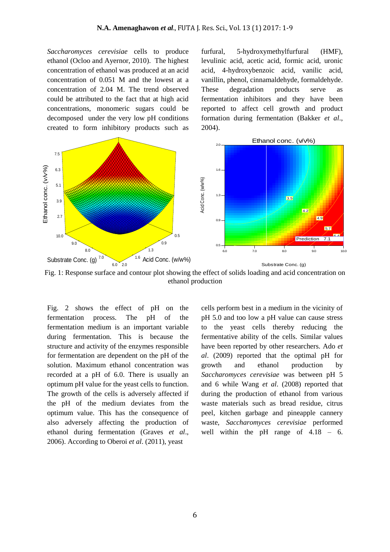*Saccharomyces cerevisiae* cells to produce ethanol (Ocloo and Ayernor, 2010). The highest concentration of ethanol was produced at an acid concentration of 0.051 M and the lowest at a concentration of 2.04 M. The trend observed could be attributed to the fact that at high acid concentrations, monomeric sugars could be decomposed under the very low pH conditions

furfural, 5-hydroxymethylfurfural (HMF), levulinic acid, acetic acid, formic acid, uronic acid, 4-hydroxybenzoic acid, vanilic acid, vanillin, phenol, cinnamaldehyde, formaldehyde. These degradation products serve as fermentation inhibitors and they have been reported to affect cell growth and product formation during fermentation (Bakker *et al*., 2004).



Fig. 1: Response surface and contour plot showing the effect of solids loading and acid concentration on ethanol production

Fig. 2 shows the effect of pH on the fermentation process. The pH of the fermentation medium is an important variable during fermentation. This is because the structure and activity of the enzymes responsible for fermentation are dependent on the pH of the solution. Maximum ethanol concentration was recorded at a pH of 6.0. There is usually an optimum pH value for the yeast cells to function. The growth of the cells is adversely affected if the pH of the medium deviates from the optimum value. This has the consequence of also adversely affecting the production of ethanol during fermentation (Graves *et al*., 2006). According to Oberoi *et al*. (2011), yeast

cells perform best in a medium in the vicinity of pH 5.0 and too low a pH value can cause stress to the yeast cells thereby reducing the fermentative ability of the cells. Similar values have been reported by other researchers. Ado *et al*. (2009) reported that the optimal pH for growth and ethanol production by *Saccharomyces cerevisiae* was between pH 5 and 6 while Wang *et al*. (2008) reported that during the production of ethanol from various waste materials such as bread residue, citrus peel, kitchen garbage and pineapple cannery waste, *Saccharomyces cerevisiae* performed well within the pH range of  $4.18 - 6$ .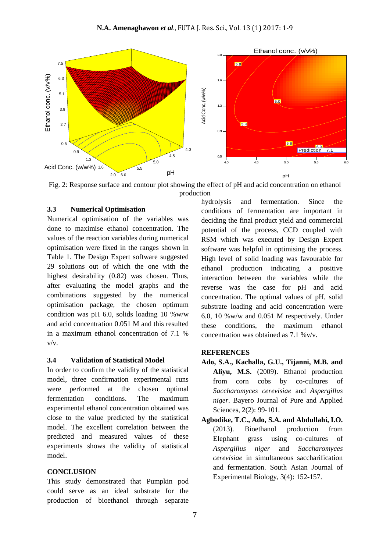

Fig. 2: Response surface and contour plot showing the effect of pH and acid concentration on ethanol production

#### **3.3 Numerical Optimisation**

Numerical optimisation of the variables was done to maximise ethanol concentration. The values of the reaction variables during numerical optimisation were fixed in the ranges shown in Table 1. The Design Expert software suggested 29 solutions out of which the one with the highest desirability (0.82) was chosen. Thus, after evaluating the model graphs and the combinations suggested by the numerical optimisation package, the chosen optimum condition was pH 6.0, solids loading 10  $\%$  w/w and acid concentration 0.051 M and this resulted in a maximum ethanol concentration of 7.1 % v/v.

#### **3.4 Validation of Statistical Model**

In order to confirm the validity of the statistical model, three confirmation experimental runs were performed at the chosen optimal fermentation conditions. The maximum experimental ethanol concentration obtained was close to the value predicted by the statistical model. The excellent correlation between the predicted and measured values of these experiments shows the validity of statistical model.

#### **CONCLUSION**

This study demonstrated that Pumpkin pod could serve as an ideal substrate for the production of bioethanol through separate hydrolysis and fermentation. Since the conditions of fermentation are important in deciding the final product yield and commercial potential of the process, CCD coupled with RSM which was executed by Design Expert software was helpful in optimising the process. High level of solid loading was favourable for ethanol production indicating a positive interaction between the variables while the reverse was the case for pH and acid concentration. The optimal values of pH, solid substrate loading and acid concentration were 6.0, 10 %w/w and 0.051 M respectively. Under these conditions, the maximum ethanol concentration was obtained as 7.1 %v/v.

#### **REFERENCES**

- **Ado, S.A., Kachalla, G.U., Tijanni, M.B. and Aliyu, M.S.** (2009). Ethanol production from corn cobs by co-cultures of *Saccharomyces cerevisiae* and *Aspergillus niger*. Bayero Journal of Pure and Applied Sciences, 2(2): 99-101.
- **Agbodike, T.C., Ado, S.A. and Abdullahi, I.O.** (2013). Bioethanol production from Elephant grass using co-cultures of *Aspergillus niger* and *Saccharomyces cerevisiae* in simultaneous saccharification and fermentation. South Asian Journal of Experimental Biology, 3(4): 152-157.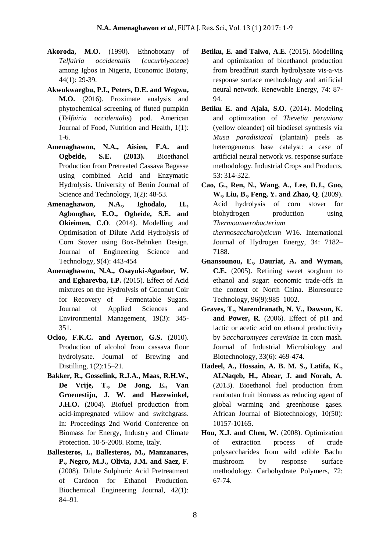- **Akoroda, M.O.** (1990). Ethnobotany of *Telfairia occidentalis* (*cucurbiyaceae*) among Igbos in Nigeria, Economic Botany, 44(1): 29-39.
- **Akwukwaegbu, P.I., Peters, D.E. and Wegwu, M.O.** (2016). Proximate analysis and phytochemical screening of fluted pumpkin (*Telfairia occidentalis*) pod. American Journal of Food, Nutrition and Health, 1(1): 1-6.
- **Amenaghawon, N.A., Aisien, F.A. and Ogbeide, S.E. (2013).** Bioethanol Production from Pretreated Cassava Bagasse using combined Acid and Enzymatic Hydrolysis. University of Benin Journal of Science and Technology, 1(2): 48-53.
- **Amenaghawon, N.A., Ighodalo, H., Agbonghae, E.O., Ogbeide, S.E. and Okieimen, C.O**. (2014). Modelling and Optimisation of Dilute Acid Hydrolysis of Corn Stover using Box-Behnken Design. Journal of Engineering Science and Technology, 9(4): 443-454
- **Amenaghawon, N.A., Osayuki-Aguebor, W. and Egharevba, I.P.** (2015). Effect of Acid mixtures on the Hydrolysis of Coconut Coir for Recovery of Fermentable Sugars. Journal of Applied Sciences and Environmental Management, 19(3): 345- 351.
- **Ocloo, F.K.C. and Ayernor, G.S.** (2010). Production of alcohol from cassava flour hydrolysate. Journal of Brewing and Distilling, 1(2):15–21.
- **Bakker, R., Gosselink, R.J.A., Maas, R.H.W., De Vrije, T., De Jong, E., Van Groenestijn, J. W. and Hazewinkel, J.H.O.** (2004). Biofuel production from acid-impregnated willow and switchgrass. In: Proceedings 2nd World Conference on Biomass for Energy, Industry and Climate Protection. 10-5-2008. Rome, Italy.
- **Ballesteros, I., Ballesteros, M., Manzanares, P., Negro, M.J., Olivia, J.M. and Saez, F**. (2008). Dilute Sulphuric Acid Pretreatment of Cardoon for Ethanol Production. Biochemical Engineering Journal, 42(1): 84–91.
- **Betiku, E. and Taiwo, A.E**. (2015). Modelling and optimization of bioethanol production from breadfruit starch hydrolysate vis-a-vis response surface methodology and artificial neural network. Renewable Energy, 74: 87- 94.
- **Betiku E. and Ajala, S.O**. (2014). Modeling and optimization of *Thevetia peruviana* (yellow oleander) oil biodiesel synthesis via *Musa paradisiacal* (plantain) peels as heterogeneous base catalyst: a case of artificial neural network vs. response surface methodology. Industrial Crops and Products, 53: 314-322.
- **Cao, G., Ren, N., Wang, A., Lee, D.J., Guo, W., Liu, B., Feng, Y. and Zhao, Q**. (2009). Acid hydrolysis of corn stover for biohydrogen production using *Thermoanaerobacterium thermosaccharolyticum* W16. International Journal of Hydrogen Energy, 34: 7182– 7188.
- **Gnansounou, E., Dauriat, A. and Wyman, C.E.** (2005). Refining sweet sorghum to ethanol and sugar: economic trade-offs in the context of North China. Bioresource Technology, 96(9):985–1002.
- **Graves, T., Narendranath, N. V., Dawson, K. and Power, R**. (2006). Effect of pH and lactic or acetic acid on ethanol productivity by *Saccharomyces cerevisiae* in corn mash. Journal of Industrial Microbiology and Biotechnology, 33(6): 469-474.
- **Hadeel, A., Hossain, A. B. M. S., Latifa, K., ALNaqeb, H., Abear, J. and Norah, A**. (2013). Bioethanol fuel production from rambutan fruit biomass as reducing agent of global warming and greenhouse gases. African Journal of Biotechnology, 10(50): 10157-10165.
- **Hou, X.J. and Chen, W**. (2008). Optimization of extraction process of crude polysaccharides from wild edible Bachu mushroom by response surface methodology. Carbohydrate Polymers, 72: 67-74.